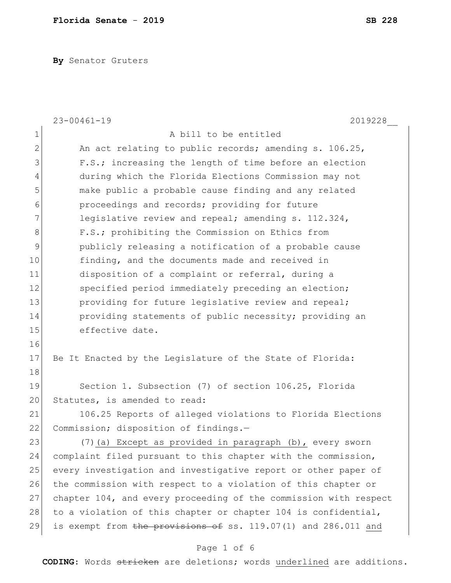**By** Senator Gruters

|              | $23 - 00461 - 19$<br>2019228                                     |
|--------------|------------------------------------------------------------------|
| $\mathbf 1$  | A bill to be entitled                                            |
| $\mathbf{2}$ | An act relating to public records; amending s. 106.25,           |
| 3            | F.S.; increasing the length of time before an election           |
| 4            | during which the Florida Elections Commission may not            |
| 5            | make public a probable cause finding and any related             |
| 6            | proceedings and records; providing for future                    |
| 7            | legislative review and repeal; amending s. 112.324,              |
| 8            | F.S.; prohibiting the Commission on Ethics from                  |
| 9            | publicly releasing a notification of a probable cause            |
| 10           | finding, and the documents made and received in                  |
| 11           | disposition of a complaint or referral, during a                 |
| 12           | specified period immediately preceding an election;              |
| 13           | providing for future legislative review and repeal;              |
| 14           | providing statements of public necessity; providing an           |
| 15           | effective date.                                                  |
| 16           |                                                                  |
| 17           | Be It Enacted by the Legislature of the State of Florida:        |
| 18           |                                                                  |
| 19           | Section 1. Subsection (7) of section 106.25, Florida             |
| 20           | Statutes, is amended to read:                                    |
| 21           | 106.25 Reports of alleged violations to Florida Elections        |
| 22           | Commission; disposition of findings.-                            |
| 23           | (7) (a) Except as provided in paragraph (b), every sworn         |
| 24           | complaint filed pursuant to this chapter with the commission,    |
| 25           | every investigation and investigative report or other paper of   |
| 26           | the commission with respect to a violation of this chapter or    |
| 27           | chapter 104, and every proceeding of the commission with respect |
| 28           | to a violation of this chapter or chapter 104 is confidential,   |
| 29           | is exempt from the provisions of ss. 119.07(1) and 286.011 and   |
|              |                                                                  |

# Page 1 of 6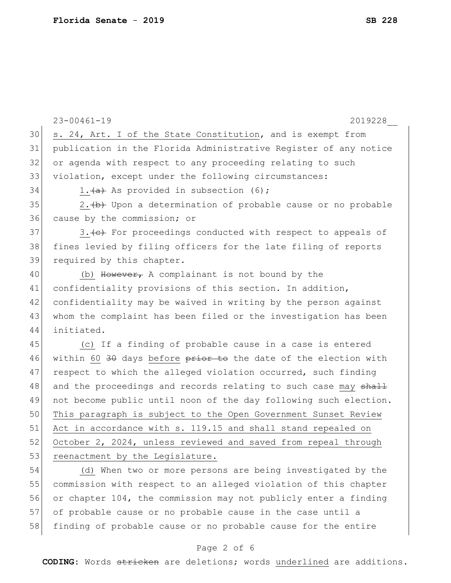|    | $23 - 00461 - 19$<br>2019228                                     |
|----|------------------------------------------------------------------|
| 30 | s. 24, Art. I of the State Constitution, and is exempt from      |
| 31 | publication in the Florida Administrative Register of any notice |
| 32 | or agenda with respect to any proceeding relating to such        |
| 33 | violation, except under the following circumstances:             |
| 34 | 1. $(a)$ As provided in subsection (6);                          |
| 35 | 2. (b) Upon a determination of probable cause or no probable     |
| 36 | cause by the commission; or                                      |
| 37 | 3. (e) For proceedings conducted with respect to appeals of      |
| 38 | fines levied by filing officers for the late filing of reports   |
| 39 | required by this chapter.                                        |
| 40 | (b) However, A complainant is not bound by the                   |
| 41 | confidentiality provisions of this section. In addition,         |
| 42 | confidentiality may be waived in writing by the person against   |
| 43 | whom the complaint has been filed or the investigation has been  |
| 44 | initiated.                                                       |
| 45 | (c) If a finding of probable cause in a case is entered          |
| 46 | within 60 30 days before prior to the date of the election with  |
| 47 | respect to which the alleged violation occurred, such finding    |
| 48 | and the proceedings and records relating to such case may shall  |
| 49 | not become public until noon of the day following such election. |
| 50 | This paragraph is subject to the Open Government Sunset Review   |
| 51 | Act in accordance with s. 119.15 and shall stand repealed on     |
| 52 | October 2, 2024, unless reviewed and saved from repeal through   |
| 53 | reenactment by the Legislature.                                  |
| 54 | (d) When two or more persons are being investigated by the       |
| 55 | commission with respect to an alleged violation of this chapter  |
| 56 | or chapter 104, the commission may not publicly enter a finding  |
| 57 | of probable cause or no probable cause in the case until a       |
| 58 | finding of probable cause or no probable cause for the entire    |

# Page 2 of 6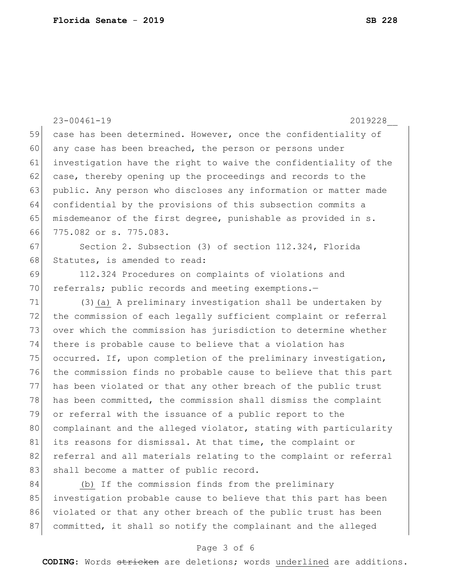|    | $23 - 00461 - 19$<br>2019228                                     |
|----|------------------------------------------------------------------|
| 59 | case has been determined. However, once the confidentiality of   |
| 60 | any case has been breached, the person or persons under          |
| 61 | investigation have the right to waive the confidentiality of the |
| 62 | case, thereby opening up the proceedings and records to the      |
| 63 | public. Any person who discloses any information or matter made  |
| 64 | confidential by the provisions of this subsection commits a      |
| 65 | misdemeanor of the first degree, punishable as provided in s.    |
| 66 | 775.082 or s. 775.083.                                           |
| 67 | Section 2. Subsection (3) of section 112.324, Florida            |
| 68 | Statutes, is amended to read:                                    |
| 69 | 112.324 Procedures on complaints of violations and               |
| 70 | referrals; public records and meeting exemptions.-               |
| 71 | (3) (a) A preliminary investigation shall be undertaken by       |
| 72 | the commission of each legally sufficient complaint or referral  |
| 73 | over which the commission has jurisdiction to determine whether  |
| 74 | there is probable cause to believe that a violation has          |
| 75 | occurred. If, upon completion of the preliminary investigation,  |
| 76 | the commission finds no probable cause to believe that this part |
| 77 | has been violated or that any other breach of the public trust   |
| 78 | has been committed, the commission shall dismiss the complaint   |
| 79 | or referral with the issuance of a public report to the          |
| 80 | complainant and the alleged violator, stating with particularity |
| 81 | its reasons for dismissal. At that time, the complaint or        |
| 82 | referral and all materials relating to the complaint or referral |
| 83 | shall become a matter of public record.                          |
| 84 | (b) If the commission finds from the preliminary                 |
| 85 | investigation probable cause to believe that this part has been  |
| 86 | violated or that any other breach of the public trust has been   |
| 87 | committed, it shall so notify the complainant and the alleged    |

# Page 3 of 6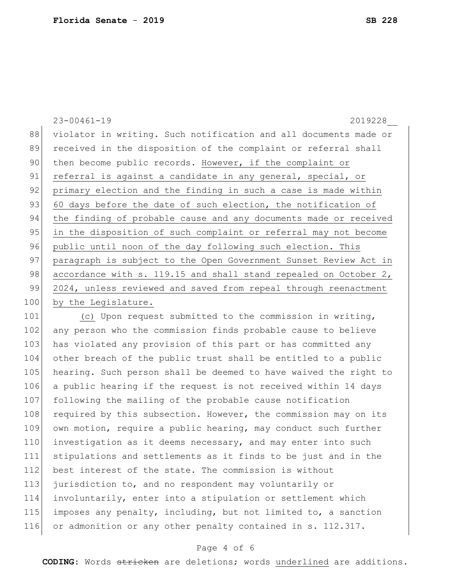|     | $23 - 00461 - 19$<br>2019228                                     |
|-----|------------------------------------------------------------------|
| 88  | violator in writing. Such notification and all documents made or |
| 89  | received in the disposition of the complaint or referral shall   |
| 90  | then become public records. However, if the complaint or         |
| 91  | referral is against a candidate in any general, special, or      |
| 92  | primary election and the finding in such a case is made within   |
| 93  | 60 days before the date of such election, the notification of    |
| 94  | the finding of probable cause and any documents made or received |
| 95  | in the disposition of such complaint or referral may not become  |
| 96  | public until noon of the day following such election. This       |
| 97  | paragraph is subject to the Open Government Sunset Review Act in |
| 98  | accordance with s. 119.15 and shall stand repealed on October 2, |
| 99  | 2024, unless reviewed and saved from repeal through reenactment  |
| 100 | by the Legislature.                                              |
|     |                                                                  |

101 (c) Upon request submitted to the commission in writing, 102 any person who the commission finds probable cause to believe 103 has violated any provision of this part or has committed any other breach of the public trust shall be entitled to a public 105 hearing. Such person shall be deemed to have waived the right to a public hearing if the request is not received within 14 days 107 following the mailing of the probable cause notification 108 required by this subsection. However, the commission may on its own motion, require a public hearing, may conduct such further 110 investigation as it deems necessary, and may enter into such stipulations and settlements as it finds to be just and in the 112 best interest of the state. The commission is without jurisdiction to, and no respondent may voluntarily or involuntarily, enter into a stipulation or settlement which imposes any penalty, including, but not limited to, a sanction 116 or admonition or any other penalty contained in s. 112.317.

### Page 4 of 6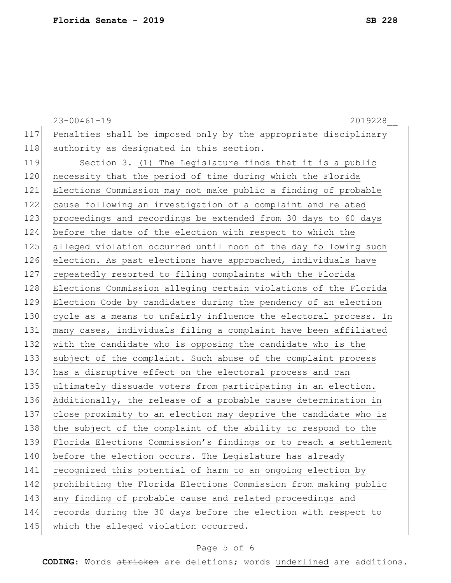23-00461-19 2019228\_\_ 117 Penalties shall be imposed only by the appropriate disciplinary 118 authority as designated in this section. 119 Section 3. (1) The Legislature finds that it is a public 120 necessity that the period of time during which the Florida 121 Elections Commission may not make public a finding of probable 122 cause following an investigation of a complaint and related 123 proceedings and recordings be extended from 30 days to 60 days 124 before the date of the election with respect to which the 125 alleged violation occurred until noon of the day following such 126 election. As past elections have approached, individuals have 127 repeatedly resorted to filing complaints with the Florida 128 Elections Commission alleging certain violations of the Florida 129 Election Code by candidates during the pendency of an election 130 cycle as a means to unfairly influence the electoral process. In 131 many cases, individuals filing a complaint have been affiliated 132 with the candidate who is opposing the candidate who is the 133 subject of the complaint. Such abuse of the complaint process 134 has a disruptive effect on the electoral process and can 135 ultimately dissuade voters from participating in an election. 136 Additionally, the release of a probable cause determination in 137 close proximity to an election may deprive the candidate who is 138 the subject of the complaint of the ability to respond to the 139 Florida Elections Commission's findings or to reach a settlement 140 before the election occurs. The Legislature has already 141 recognized this potential of harm to an ongoing election by 142 prohibiting the Florida Elections Commission from making public 143 any finding of probable cause and related proceedings and 144 records during the 30 days before the election with respect to 145 which the alleged violation occurred.

## Page 5 of 6